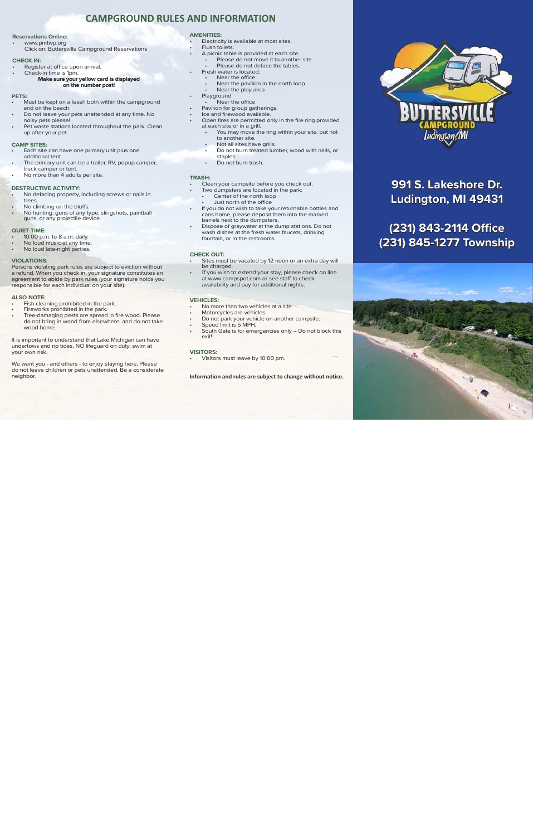# **CAMPGROUND RULES AND INFORMATION**

#### **Reservations Online:**

• www.pmtwp.org Click on: Buttersville Campground Reservations

#### **CHECK-IN:**

- Register at office upon arrival.
- Check-in time is 1pm.
	- **Make sure your yellow card is displayed on the number post!**

#### **PETS:**

- Must be kept on a leash both within the campground and on the beach.
- Do not leave your pets unattended at any time. No noisy pets please!
- Pet waste stations located throughout the park. Clean up after your pet.

#### **CAMP SITES:**

- Each site can have one primary unit plus one additional tent.
- The primary unit can be a trailer, RV, popup camper, truck camper or tent.
- No more than 4 adults per site.

### **DESTRUCTIVE ACTIVITY:**

- No defacing property, including screws or nails in trees.
- No climbing on the bluffs.
- No hunting, guns of any type, slingshots, paintball guns, or any projectile device.

#### **QUIET TIME:**

- 10:00 p.m. to 8 a.m. daily.
- No loud music at any time.
- No loud late-night parties.

#### **VIOLATIONS:**

Persons violating park rules are subject to eviction without a refund. When you check in, your signature constitutes an agreement to abide by park rules (your signature holds you responsible for each individual on your site).

#### **ALSO NOTE:**

- Fish cleaning prohibited in the park.
- Fireworks prohibited in the park.
- Tree-damaging pests are spread in fire wood. Please do not bring in wood from elsewhere, and do not take wood home.

It is important to understand that Lake Michigan can have undertows and rip tides. NO lifeguard on duty; swim at your own risk.

We want you - and others - to enjoy staying here. Please do not leave children or pets unattended. Be a considerate neighbor.

#### **AMENITIES:**

- Electricity is available at most sites.
- Flush toilets.
	- A picnic table is provided at each site.
	- Please do not move it to another site.
	- Please do not deface the tables.
- Fresh water is located:
- Near the office
- Near the pavilion in the north loop • Near the play area
- **Playground**
- Near the office
- Pavilion for group gatherings.
- Ice and firewood available.
- Open fires are permitted only in the fire ring provided at each site or in a grill.
	- You may move the ring within your site, but not to another site.
	- Not all sites have grills.
	- Do not burn treated lumber, wood with nails, or staples.
	- Do not burn trash.

#### **TRASH:**

- Clean your campsite before you check out.
- Two dumpsters are located in the park:
	- Center of the north loop
	- Just north of the office
- If you do not wish to take your returnable bottles and cans home, please deposit them into the marked barrels next to the dumpsters.
- Dispose of graywater at the dump stations. Do not wash dishes at the fresh water faucets, drinking fountain, or in the restrooms.

# **CHECK-OUT:**

- Sites must be vacated by 12 noon or an extra day will be charged.
- If you wish to extend your stay, please check on line at www.campspot.com or see staff to check availability and pay for additional nights.

# **VEHICLES:**

- No more than two vehicles at a site.
- Motorcycles are vehicles.
- Do not park your vehicle on another campsite.
- Speed limit is 5 MPH.
- South Gate is for emergencies only Do not block this exit!

# **VISITORS:**

• Visitors must leave by 10:00 pm.

 **Information and rules are subject to change without notice.**



**991 S. Lakeshore Dr. Ludington, MI 49431**

# **(231) 843-2114 Office (231) 845-1277 Township**